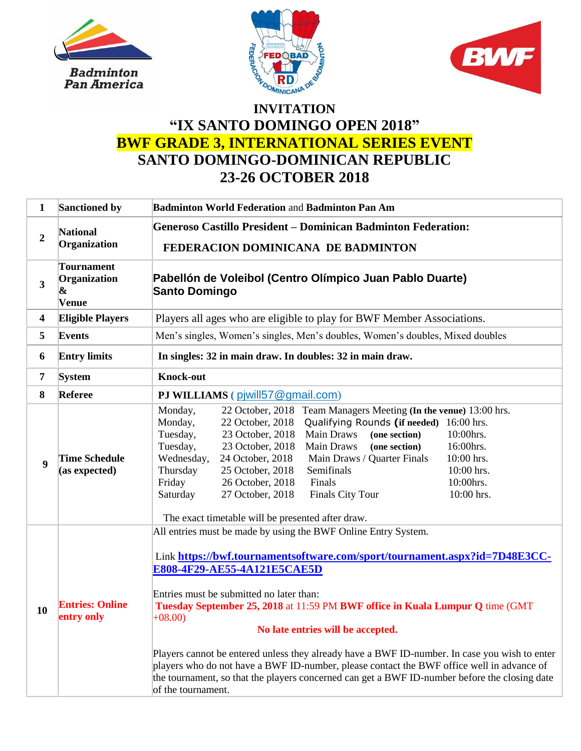





## **"IX SANTO DOMINGO OPEN 2018" BWF GRADE 3, INTERNATIONAL SERIES EVENT SANTO DOMINGO-DOMINICAN REPUBLIC 23-26 OCTOBER 2018**

| $\mathbf{1}$            | Sanctioned by                                   | <b>Badminton World Federation and Badminton Pan Am</b>                                                                                                                                                                                                                                                                                                                                                                                                                                                                                                                                                                                                                         |  |  |  |  |
|-------------------------|-------------------------------------------------|--------------------------------------------------------------------------------------------------------------------------------------------------------------------------------------------------------------------------------------------------------------------------------------------------------------------------------------------------------------------------------------------------------------------------------------------------------------------------------------------------------------------------------------------------------------------------------------------------------------------------------------------------------------------------------|--|--|--|--|
| $\boldsymbol{2}$        | <b>National</b><br>Organization                 | <b>Generoso Castillo President – Dominican Badminton Federation:</b><br>FEDERACION DOMINICANA DE BADMINTON                                                                                                                                                                                                                                                                                                                                                                                                                                                                                                                                                                     |  |  |  |  |
| $\overline{\mathbf{3}}$ | <b>Tournament</b><br>Organization<br>&<br>Venue | Pabellón de Voleibol (Centro Olímpico Juan Pablo Duarte)<br><b>Santo Domingo</b>                                                                                                                                                                                                                                                                                                                                                                                                                                                                                                                                                                                               |  |  |  |  |
| 4                       | <b>Eligible Players</b>                         | Players all ages who are eligible to play for BWF Member Associations.                                                                                                                                                                                                                                                                                                                                                                                                                                                                                                                                                                                                         |  |  |  |  |
| 5                       | <b>Events</b>                                   | Men's singles, Women's singles, Men's doubles, Women's doubles, Mixed doubles                                                                                                                                                                                                                                                                                                                                                                                                                                                                                                                                                                                                  |  |  |  |  |
| 6                       | <b>Entry limits</b>                             | In singles: 32 in main draw. In doubles: 32 in main draw.                                                                                                                                                                                                                                                                                                                                                                                                                                                                                                                                                                                                                      |  |  |  |  |
| 7                       | <b>System</b>                                   | <b>Knock-out</b>                                                                                                                                                                                                                                                                                                                                                                                                                                                                                                                                                                                                                                                               |  |  |  |  |
| 8                       | Referee                                         | PJ WILLIAMS (piwill57@gmail.com)                                                                                                                                                                                                                                                                                                                                                                                                                                                                                                                                                                                                                                               |  |  |  |  |
| $\boldsymbol{9}$        | <b>Time Schedule</b><br>(as expected)           | 22 October, 2018<br>Monday,<br>Team Managers Meeting (In the venue) 13:00 hrs.<br>22 October, 2018<br>Qualifying Rounds (if needed)<br>16:00 hrs.<br>Monday,<br>Tuesday,<br>23 October, 2018<br>Main Draws<br>(one section)<br>10:00hrs.<br>23 October, 2018<br>Main Draws<br>16:00hrs.<br>Tuesday,<br>(one section)<br>24 October, 2018<br>10:00 hrs.<br>Wednesday,<br>Main Draws / Quarter Finals<br>25 October, 2018<br>Semifinals<br>10:00 hrs.<br>Thursday<br>Friday<br>26 October, 2018<br>Finals<br>10:00hrs.<br>27 October, 2018<br><b>Finals City Tour</b><br>10:00 hrs.<br>Saturday<br>The exact timetable will be presented after draw.                             |  |  |  |  |
| 10                      | <b>Entries: Online</b><br>entry only            | All entries must be made by using the BWF Online Entry System.<br>Link https://bwf.tournamentsoftware.com/sport/tournament.aspx?id=7D48E3CC-<br>E808-4F29-AE55-4A121E5CAE5D<br>Entries must be submitted no later than:<br>Tuesday September 25, 2018 at 11:59 PM BWF office in Kuala Lumpur Q time (GMT<br>$+08.00$<br>No late entries will be accepted.<br>Players cannot be entered unless they already have a BWF ID-number. In case you wish to enter<br>players who do not have a BWF ID-number, please contact the BWF office well in advance of<br>the tournament, so that the players concerned can get a BWF ID-number before the closing date<br>of the tournament. |  |  |  |  |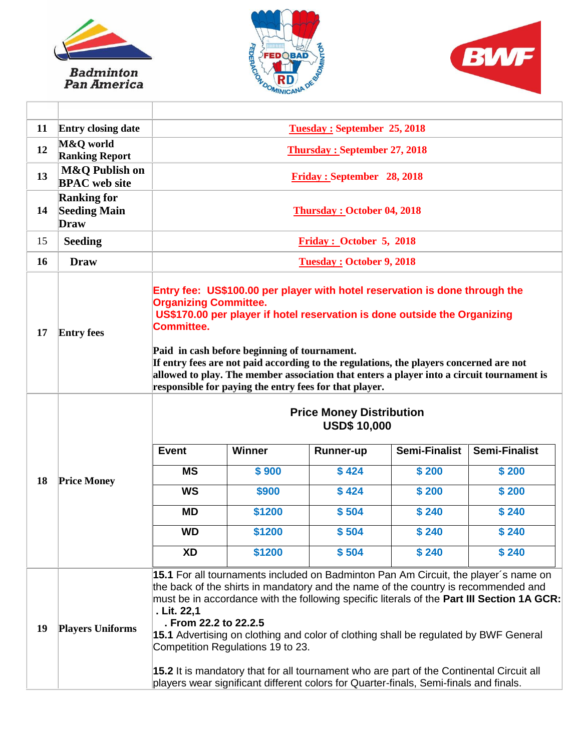

Badminton<br>Pan America

 $\top$ 





| 11 | <b>Entry closing date</b>                                | <b>Tuesday: September 25, 2018</b>                                                                                                                                                                                                                                                                                                                                                                                                                                                                                                                                                                                                |                            |                  |                      |                      |  |
|----|----------------------------------------------------------|-----------------------------------------------------------------------------------------------------------------------------------------------------------------------------------------------------------------------------------------------------------------------------------------------------------------------------------------------------------------------------------------------------------------------------------------------------------------------------------------------------------------------------------------------------------------------------------------------------------------------------------|----------------------------|------------------|----------------------|----------------------|--|
| 12 | M&Q world<br><b>Ranking Report</b>                       | <b>Thursday: September 27, 2018</b>                                                                                                                                                                                                                                                                                                                                                                                                                                                                                                                                                                                               |                            |                  |                      |                      |  |
| 13 | M&Q Publish on<br><b>BPAC</b> web site                   |                                                                                                                                                                                                                                                                                                                                                                                                                                                                                                                                                                                                                                   | Friday: September 28, 2018 |                  |                      |                      |  |
| 14 | <b>Ranking for</b><br><b>Seeding Main</b><br><b>Draw</b> | <b>Thursday: October 04, 2018</b>                                                                                                                                                                                                                                                                                                                                                                                                                                                                                                                                                                                                 |                            |                  |                      |                      |  |
| 15 | <b>Seeding</b>                                           |                                                                                                                                                                                                                                                                                                                                                                                                                                                                                                                                                                                                                                   | Friday: October 5, 2018    |                  |                      |                      |  |
| 16 | <b>Draw</b>                                              | <b>Tuesday: October 9, 2018</b>                                                                                                                                                                                                                                                                                                                                                                                                                                                                                                                                                                                                   |                            |                  |                      |                      |  |
| 17 | <b>Entry fees</b>                                        | Entry fee: US\$100.00 per player with hotel reservation is done through the<br><b>Organizing Committee.</b><br>US\$170.00 per player if hotel reservation is done outside the Organizing<br><b>Committee.</b><br>Paid in cash before beginning of tournament.<br>If entry fees are not paid according to the regulations, the players concerned are not<br>allowed to play. The member association that enters a player into a circuit tournament is<br>responsible for paying the entry fees for that player.                                                                                                                    |                            |                  |                      |                      |  |
| 18 | <b>Price Money</b>                                       | <b>Price Money Distribution</b><br><b>USD\$ 10,000</b>                                                                                                                                                                                                                                                                                                                                                                                                                                                                                                                                                                            |                            |                  |                      |                      |  |
|    |                                                          | <b>Event</b>                                                                                                                                                                                                                                                                                                                                                                                                                                                                                                                                                                                                                      | Winner                     | <b>Runner-up</b> | <b>Semi-Finalist</b> | <b>Semi-Finalist</b> |  |
|    |                                                          | <b>MS</b>                                                                                                                                                                                                                                                                                                                                                                                                                                                                                                                                                                                                                         | \$900                      | \$424            | \$200                | \$200                |  |
|    |                                                          | <b>WS</b>                                                                                                                                                                                                                                                                                                                                                                                                                                                                                                                                                                                                                         | \$900                      | \$424            | \$200                | \$200                |  |
|    |                                                          | <b>MD</b>                                                                                                                                                                                                                                                                                                                                                                                                                                                                                                                                                                                                                         | \$1200                     | \$504            | \$240                | \$240                |  |
|    |                                                          | <b>WD</b>                                                                                                                                                                                                                                                                                                                                                                                                                                                                                                                                                                                                                         | \$1200                     | \$504            | \$240                | \$240                |  |
|    |                                                          | <b>XD</b>                                                                                                                                                                                                                                                                                                                                                                                                                                                                                                                                                                                                                         | \$1200                     | \$504            | \$240                | \$240                |  |
| 19 | <b>Players Uniforms</b>                                  | 15.1 For all tournaments included on Badminton Pan Am Circuit, the player's name on<br>the back of the shirts in mandatory and the name of the country is recommended and<br>must be in accordance with the following specific literals of the Part III Section 1A GCR:<br>. Lit. 22,1<br>. From 22.2 to 22.2.5<br>15.1 Advertising on clothing and color of clothing shall be regulated by BWF General<br>Competition Regulations 19 to 23.<br>15.2 It is mandatory that for all tournament who are part of the Continental Circuit all<br>players wear significant different colors for Quarter-finals, Semi-finals and finals. |                            |                  |                      |                      |  |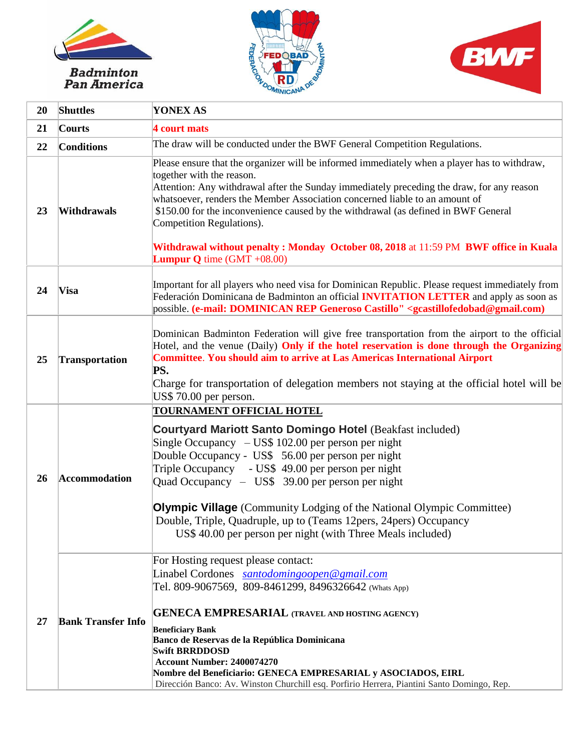

## *Badminton<br>Pan America*





| 20 | <b>Shuttles</b>           | <b>YONEX AS</b>                                                                                                                                                                                                                                                                                                                                                                                                                                                                                                                                         |
|----|---------------------------|---------------------------------------------------------------------------------------------------------------------------------------------------------------------------------------------------------------------------------------------------------------------------------------------------------------------------------------------------------------------------------------------------------------------------------------------------------------------------------------------------------------------------------------------------------|
| 21 | Courts                    | <b>4 court mats</b>                                                                                                                                                                                                                                                                                                                                                                                                                                                                                                                                     |
| 22 | <b>Conditions</b>         | The draw will be conducted under the BWF General Competition Regulations.                                                                                                                                                                                                                                                                                                                                                                                                                                                                               |
| 23 | Withdrawals               | Please ensure that the organizer will be informed immediately when a player has to withdraw,<br>together with the reason.<br>Attention: Any withdrawal after the Sunday immediately preceding the draw, for any reason<br>whatsoever, renders the Member Association concerned liable to an amount of<br>\$150.00 for the inconvenience caused by the withdrawal (as defined in BWF General<br>Competition Regulations).<br>Withdrawal without penalty: Monday October 08, 2018 at 11:59 PM BWF office in Kuala<br><b>Lumpur Q</b> time $(GMT + 08.00)$ |
| 24 | Visa                      | Important for all players who need visa for Dominican Republic. Please request immediately from<br>Federación Dominicana de Badminton an official <b>INVITATION LETTER</b> and apply as soon as<br>possible. (e-mail: DOMINICAN REP Generoso Castillo" <gcastillofedobad@gmail.com)< td=""></gcastillofedobad@gmail.com)<>                                                                                                                                                                                                                              |
| 25 | <b>Transportation</b>     | Dominican Badminton Federation will give free transportation from the airport to the official<br>Hotel, and the venue (Daily) <b>Only if the hotel reservation is done through the Organizing</b><br><b>Committee. You should aim to arrive at Las Americas International Airport</b><br>PS.<br>Charge for transportation of delegation members not staying at the official hotel will be<br>US\$ 70.00 per person.                                                                                                                                     |
| 26 | <b>Accommodation</b>      | <b>TOURNAMENT OFFICIAL HOTEL</b><br><b>Courtyard Mariott Santo Domingo Hotel (Beakfast included)</b><br>Single Occupancy $-$ US\$ 102.00 per person per night<br>Double Occupancy - US\$ 56.00 per person per night<br>Triple Occupancy - US\$ 49.00 per person per night<br>Quad Occupancy - US\$ 39.00 per person per night<br><b>Olympic Village</b> (Community Lodging of the National Olympic Committee)<br>Double, Triple, Quadruple, up to (Teams 12pers, 24pers) Occupancy<br>US\$ 40.00 per person per night (with Three Meals included)       |
| 27 | <b>Bank Transfer Info</b> | For Hosting request please contact:<br>Linabel Cordones santodomingoopen@gmail.com<br>Tel. 809-9067569, 809-8461299, 8496326642 (Whats App)<br><b>GENECA EMPRESARIAL (TRAVEL AND HOSTING AGENCY)</b><br><b>Beneficiary Bank</b><br>Banco de Reservas de la República Dominicana<br><b>Swift BRRDDOSD</b><br><b>Account Number: 2400074270</b><br>Nombre del Beneficiario: GENECA EMPRESARIAL y ASOCIADOS, EIRL<br>Dirección Banco: Av. Winston Churchill esq. Porfirio Herrera, Piantini Santo Domingo, Rep.                                            |